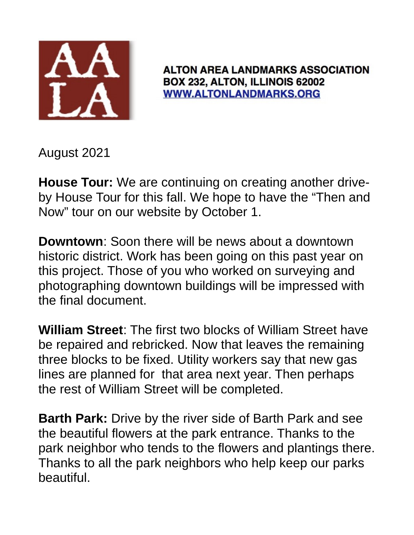

**ALTON AREA LANDMARKS ASSOCIATION** BOX 232, ALTON, ILLINOIS 62002 **WWW.ALTONLANDMARKS.ORG** 

August 2021

**House Tour:** We are continuing on creating another driveby House Tour for this fall. We hope to have the "Then and Now" tour on our website by October 1.

**Downtown**: Soon there will be news about a downtown historic district. Work has been going on this past year on this project. Those of you who worked on surveying and photographing downtown buildings will be impressed with the final document.

**William Street**: The first two blocks of William Street have be repaired and rebricked. Now that leaves the remaining three blocks to be fixed. Utility workers say that new gas lines are planned for that area next year. Then perhaps the rest of William Street will be completed.

**Barth Park:** Drive by the river side of Barth Park and see the beautiful flowers at the park entrance. Thanks to the park neighbor who tends to the flowers and plantings there. Thanks to all the park neighbors who help keep our parks beautiful.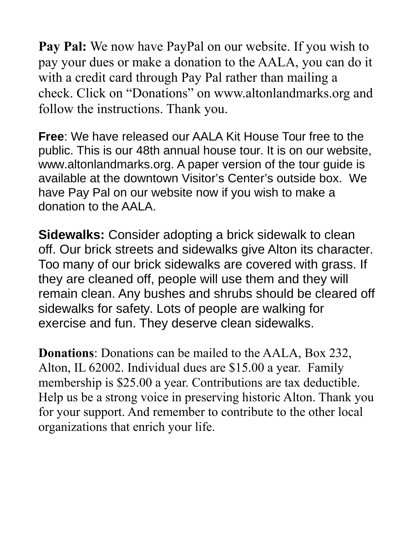**Pay Pal:** We now have PayPal on our website. If you wish to pay your dues or make a donation to the AALA, you can do it with a credit card through Pay Pal rather than mailing a check. Click on "Donations" on www.altonlandmarks.org and follow the instructions. Thank you.

**Free**: We have released our AALA Kit House Tour free to the public. This is our 48th annual house tour. It is on our website, www.altonlandmarks.org. A paper version of the tour guide is available at the downtown Visitor's Center's outside box. We have Pay Pal on our website now if you wish to make a donation to the AALA.

**Sidewalks:** Consider adopting a brick sidewalk to clean off. Our brick streets and sidewalks give Alton its character. Too many of our brick sidewalks are covered with grass. If they are cleaned off, people will use them and they will remain clean. Any bushes and shrubs should be cleared off sidewalks for safety. Lots of people are walking for exercise and fun. They deserve clean sidewalks.

**Donations**: Donations can be mailed to the AALA, Box 232, Alton, IL 62002. Individual dues are \$15.00 a year. Family membership is \$25.00 a year. Contributions are tax deductible. Help us be a strong voice in preserving historic Alton. Thank you for your support. And remember to contribute to the other local organizations that enrich your life.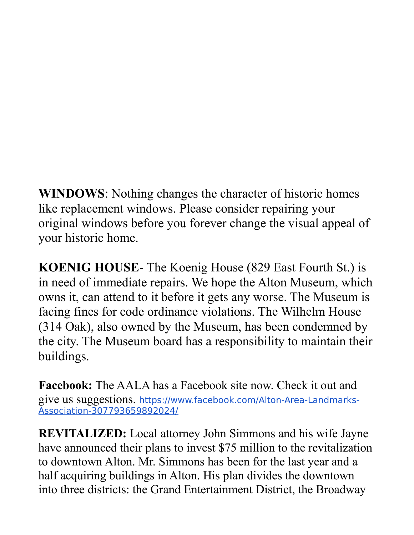**WINDOWS**: Nothing changes the character of historic homes like replacement windows. Please consider repairing your original windows before you forever change the visual appeal of your historic home.

**KOENIG HOUSE**- The Koenig House (829 East Fourth St.) is in need of immediate repairs. We hope the Alton Museum, which owns it, can attend to it before it gets any worse. The Museum is facing fines for code ordinance violations. The Wilhelm House (314 Oak), also owned by the Museum, has been condemned by the city. The Museum board has a responsibility to maintain their buildings.

**Facebook:** The AALA has a Facebook site now. Check it out and give us suggestions. https://www.facebook.com/Alton-Area-Landmarks-Association-307793659892024/

**REVITALIZED:** Local attorney John Simmons and his wife Jayne have announced their plans to invest \$75 million to the revitalization to downtown Alton. Mr. Simmons has been for the last year and a half acquiring buildings in Alton. His plan divides the downtown into three districts: the Grand Entertainment District, the Broadway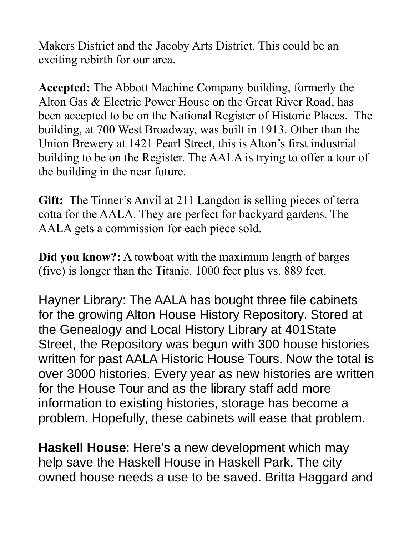Makers District and the Jacoby Arts District. This could be an exciting rebirth for our area.

**Accepted:** The Abbott Machine Company building, formerly the Alton Gas & Electric Power House on the Great River Road, has been accepted to be on the National Register of Historic Places. The building, at 700 West Broadway, was built in 1913. Other than the Union Brewery at 1421 Pearl Street, this is Alton's first industrial building to be on the Register. The AALA is trying to offer a tour of the building in the near future.

**Gift:** The Tinner's Anvil at 211 Langdon is selling pieces of terra cotta for the AALA. They are perfect for backyard gardens. The AALA gets a commission for each piece sold.

**Did you know?:** A towboat with the maximum length of barges (five) is longer than the Titanic. 1000 feet plus vs. 889 feet.

Hayner Library: The AALA has bought three file cabinets for the growing Alton House History Repository. Stored at the Genealogy and Local History Library at 401State Street, the Repository was begun with 300 house histories written for past AALA Historic House Tours. Now the total is over 3000 histories. Every year as new histories are written for the House Tour and as the library staff add more information to existing histories, storage has become a problem. Hopefully, these cabinets will ease that problem.

**Haskell House**: Here's a new development which may help save the Haskell House in Haskell Park. The city owned house needs a use to be saved. Britta Haggard and